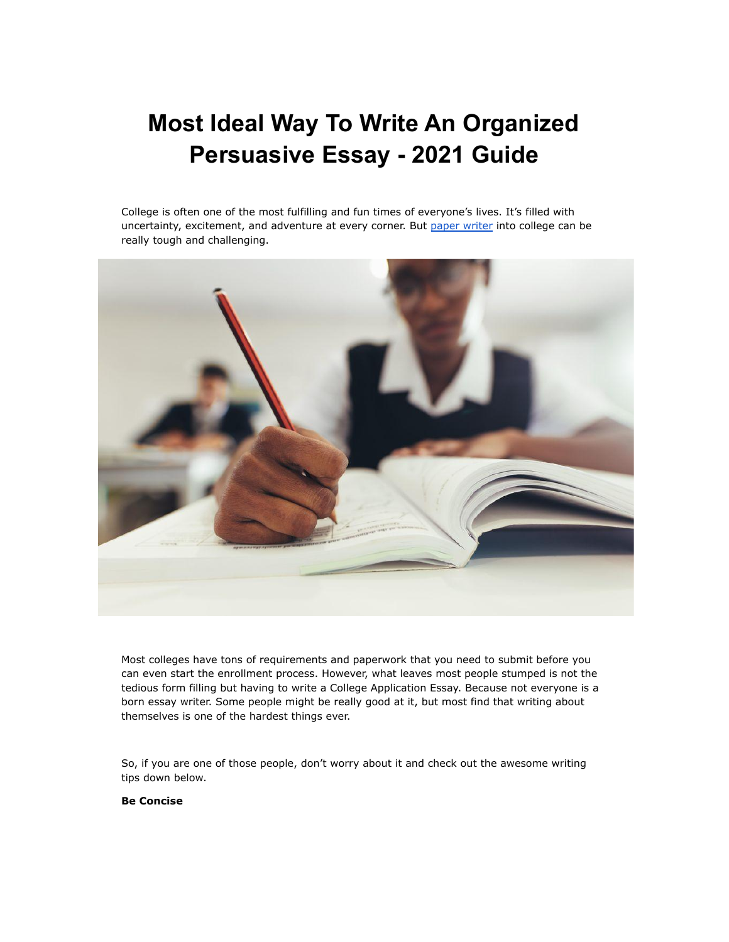# **Most Ideal Way To Write An Organized Persuasive Essay - 2021 Guide**

College is often one of the most fulfilling and fun times of everyone's lives. It's filled with uncertainty, excitement, and adventure at every corner. But paper [writer](https://www.myperfectpaper.net/) into college can be really tough and challenging.



Most colleges have tons of requirements and paperwork that you need to submit before you can even start the enrollment process. However, what leaves most people stumped is not the tedious form filling but having to write a College Application Essay. Because not everyone is a born essay writer. Some people might be really good at it, but most find that writing about themselves is one of the hardest things ever.

So, if you are one of those people, don't worry about it and check out the awesome writing tips down below.

**Be Concise**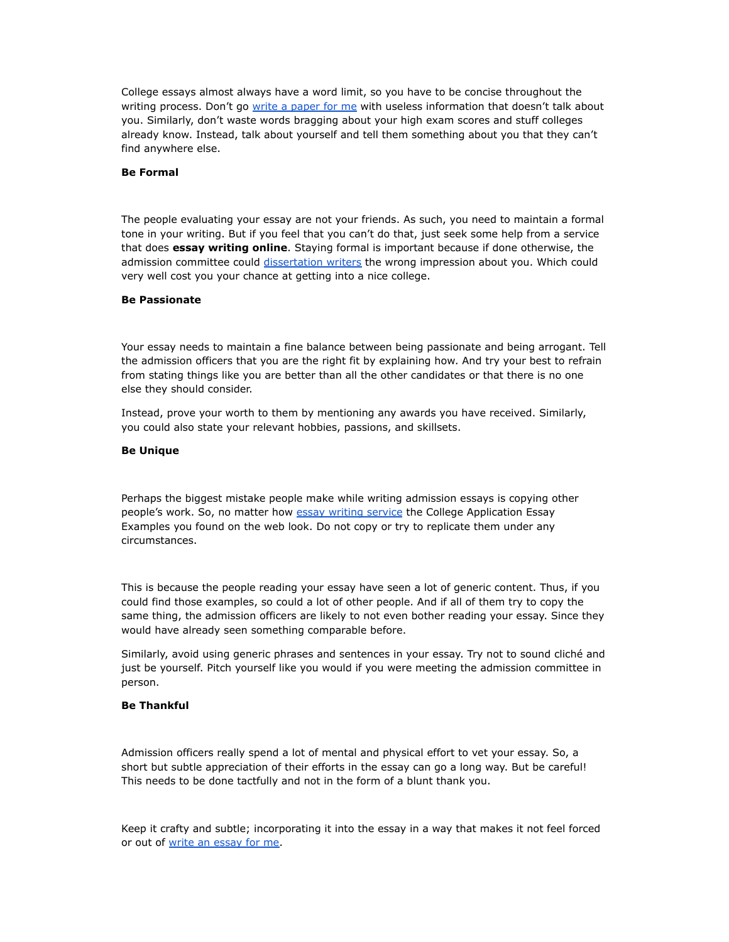College essays almost always have a word limit, so you have to be concise throughout the writing process. Don't go write a [paper](https://www.myperfectpaper.net/) for me with useless information that doesn't talk about you. Similarly, don't waste words bragging about your high exam scores and stuff colleges already know. Instead, talk about yourself and tell them something about you that they can't find anywhere else.

#### **Be Formal**

The people evaluating your essay are not your friends. As such, you need to maintain a formal tone in your writing. But if you feel that you can't do that, just seek some help from a service that does **essay writing online**. Staying formal is important because if done otherwise, the admission committee could [dissertation](https://www.gradschoolgenius.com/professional-dissertation-writers) writers the wrong impression about you. Which could very well cost you your chance at getting into a nice college.

#### **Be Passionate**

Your essay needs to maintain a fine balance between being passionate and being arrogant. Tell the admission officers that you are the right fit by explaining how. And try your best to refrain from stating things like you are better than all the other candidates or that there is no one else they should consider.

Instead, prove your worth to them by mentioning any awards you have received. Similarly, you could also state your relevant hobbies, passions, and skillsets.

#### **Be Unique**

Perhaps the biggest mistake people make while writing admission essays is copying other people's work. So, no matter how essay writing [service](https://www.essaywritingservice.college/) the College Application Essay Examples you found on the web look. Do not copy or try to replicate them under any circumstances.

This is because the people reading your essay have seen a lot of generic content. Thus, if you could find those examples, so could a lot of other people. And if all of them try to copy the same thing, the admission officers are likely to not even bother reading your essay. Since they would have already seen something comparable before.

Similarly, avoid using generic phrases and sentences in your essay. Try not to sound cliché and just be yourself. Pitch yourself like you would if you were meeting the admission committee in person.

### **Be Thankful**

Admission officers really spend a lot of mental and physical effort to vet your essay. So, a short but subtle appreciation of their efforts in the essay can go a long way. But be careful! This needs to be done tactfully and not in the form of a blunt thank you.

Keep it crafty and subtle; incorporating it into the essay in a way that makes it not feel forced or out of write an [essay](https://www.writemyessay.help/) for me.